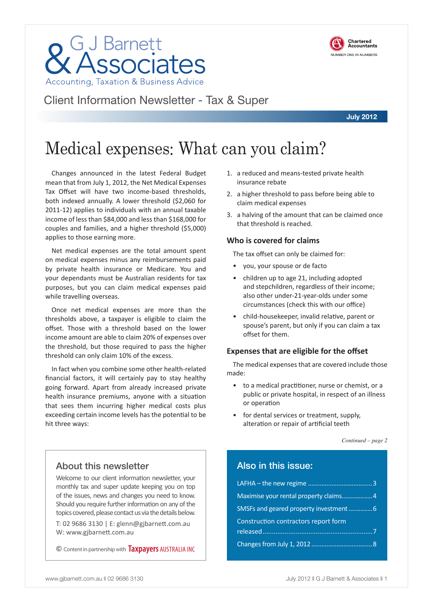About this newsletter

hit three ways:

threshold can only claim 10% of the excess.

Welcome to our client information newsletter, your monthly tax and super update keeping you on top of the issues, news and changes you need to know. Should you require further information on any of the topics covered, please contact us via the details below.

T: 02 9686 3130 | E: glenn@gjbarnett.com.au W: www.gjbarnett.com.au

© Content in partnership with **Taxpayers** AUSTRALIA INC

- 1. a reduced and means-tested private health insurance rebate
- 2. a higher threshold to pass before being able to claim medical expenses
- 3. a halving of the amount that can be claimed once that threshold is reached.

#### **Who is covered for claims**

The tax offset can only be claimed for:

- you, your spouse or de facto
- children up to age 21, including adopted and stepchildren, regardless of their income; also other under-21-year-olds under some circumstances (check this with our office)
- child-housekeeper, invalid relative, parent or spouse's parent, but only if you can claim a tax offset for them.

#### **Expenses that are eligible for the offset**

The medical expenses that are covered include those made:

- to a medical practitioner, nurse or chemist, or a public or private hospital, in respect of an illness or operation
- for dental services or treatment, supply, alteration or repair of artificial teeth

*Continued – page 2*

### Also in this issue:

| Maximise your rental property claims4 |  |
|---------------------------------------|--|
| SMSFs and geared property investment6 |  |
| Construction contractors report form  |  |
|                                       |  |
|                                       |  |



**July 2012**

# **GJ Barnett**<br>Associates Accounting, Taxation & Business Advice

Changes announced in the latest Federal Budget mean that from July 1, 2012, the Net Medical Expenses Tax Offset will have two income-based thresholds, both indexed annually. A lower threshold (\$2,060 for 2011-12) applies to individuals with an annual taxable income of less than \$84,000 and less than \$168,000 for couples and families, and a higher threshold (\$5,000)

Net medical expenses are the total amount spent on medical expenses minus any reimbursements paid by private health insurance or Medicare. You and your dependants must be Australian residents for tax purposes, but you can claim medical expenses paid

Once net medical expenses are more than the thresholds above, a taxpayer is eligible to claim the offset. Those with a threshold based on the lower income amount are able to claim 20% of expenses over the threshold, but those required to pass the higher

In fact when you combine some other health-related financial factors, it will certainly pay to stay healthy going forward. Apart from already increased private health insurance premiums, anyone with a situation that sees them incurring higher medical costs plus exceeding certain income levels has the potential to be

applies to those earning more.

while travelling overseas.

Client Information Newsletter - Tax & Super

Medical expenses: What can you claim?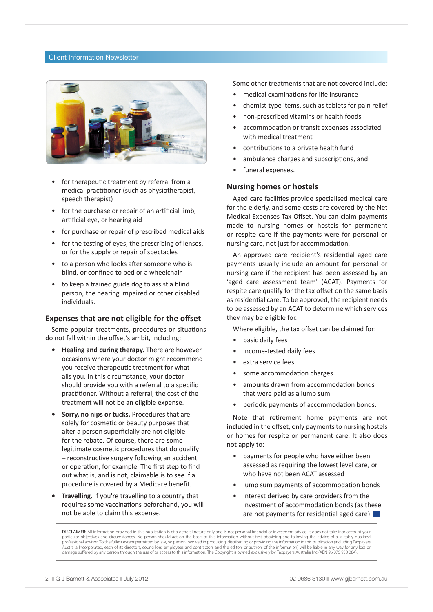#### Client Information Newsletter



- for therapeutic treatment by referral from a medical practitioner (such as physiotherapist, speech therapist)
- for the purchase or repair of an artificial limb, artificial eye, or hearing aid
- for purchase or repair of prescribed medical aids
- for the testing of eyes, the prescribing of lenses, or for the supply or repair of spectacles
- to a person who looks after someone who is blind, or confined to bed or a wheelchair
- to keep a trained guide dog to assist a blind person, the hearing impaired or other disabled individuals.

#### **Expenses that are not eligible for the offset**

Some popular treatments, procedures or situations do not fall within the offset's ambit, including:

- **• Healing and curing therapy.** There are however occasions where your doctor might recommend you receive therapeutic treatment for what ails you. In this circumstance, your doctor should provide you with a referral to a specific practitioner. Without a referral, the cost of the treatment will not be an eligible expense.
- **• Sorry, no nips or tucks.** Procedures that are solely for cosmetic or beauty purposes that alter a person superficially are not eligible for the rebate. Of course, there are some legitimate cosmetic procedures that do qualify – reconstructive surgery following an accident or operation, for example. The first step to find out what is, and is not, claimable is to see if a procedure is covered by a Medicare benefit.
- **• Travelling.** If you're travelling to a country that requires some vaccinations beforehand, you will not be able to claim this expense.

Some other treatments that are not covered include:

- medical examinations for life insurance
- chemist-type items, such as tablets for pain relief
- non-prescribed vitamins or health foods
- accommodation or transit expenses associated with medical treatment
- contributions to a private health fund
- ambulance charges and subscriptions, and
- funeral expenses.

#### **Nursing homes or hostels**

Aged care facilities provide specialised medical care for the elderly, and some costs are covered by the Net Medical Expenses Tax Offset. You can claim payments made to nursing homes or hostels for permanent or respite care if the payments were for personal or nursing care, not just for accommodation.

An approved care recipient's residential aged care payments usually include an amount for personal or nursing care if the recipient has been assessed by an 'aged care assessment team' (ACAT). Payments for respite care qualify for the tax offset on the same basis as residential care. To be approved, the recipient needs to be assessed by an ACAT to determine which services they may be eligible for.

Where eligible, the tax offset can be claimed for:

- basic daily fees
- income-tested daily fees
- extra service fees
- some accommodation charges
- amounts drawn from accommodation bonds that were paid as a lump sum
- periodic payments of accommodation bonds.

Note that retirement home payments are **not included** in the offset, only payments to nursing hostels or homes for respite or permanent care. It also does not apply to:

- payments for people who have either been assessed as requiring the lowest level care, or who have not been ACAT assessed
- lump sum payments of accommodation bonds
- interest derived by care providers from the investment of accommodation bonds (as these are not payments for residential aged care).

**DISCLAIMER:** All information provided in this publication is of a general nature only and is not personal financial or investment advice. It does not take into account your<br>particular objectives and circumstances. No pers professional advisor. To the fullest extent permitted by law, no person involved in producing, distributing or providing the information in this publication (including Taxpayers Australia Incorporated, each of its directors, councillors, employees and contractors and the editors or authors of the information) will be liable in any way for any loss or damage suffered by any person through the use of or access to this information. The Copyright is owned exclusively by Taxpayers Australia Inc (ABN 96 075 950 284).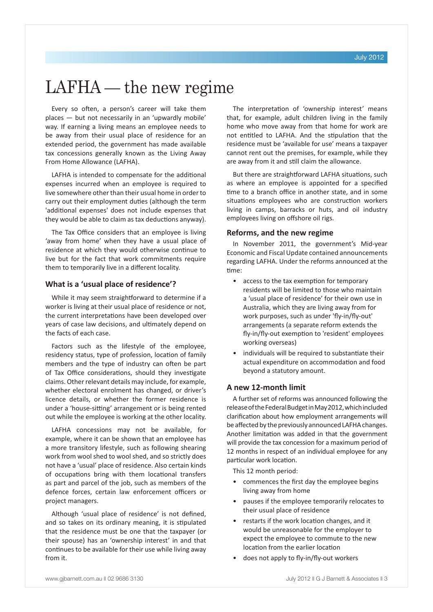### LAFHA — the new regime

Every so often, a person's career will take them places — but not necessarily in an 'upwardly mobile' way. If earning a living means an employee needs to be away from their usual place of residence for an extended period, the government has made available tax concessions generally known as the Living Away From Home Allowance (LAFHA).

LAFHA is intended to compensate for the additional expenses incurred when an employee is required to live somewhere other than their usual home in order to carry out their employment duties (although the term 'additional expenses' does not include expenses that they would be able to claim as tax deductions anyway).

The Tax Office considers that an employee is living 'away from home' when they have a usual place of residence at which they would otherwise continue to live but for the fact that work commitments require them to temporarily live in a different locality.

#### **What is a 'usual place of residence'?**

While it may seem straightforward to determine if a worker is living at their usual place of residence or not, the current interpretations have been developed over years of case law decisions, and ultimately depend on the facts of each case.

Factors such as the lifestyle of the employee, residency status, type of profession, location of family members and the type of industry can often be part of Tax Office considerations, should they investigate claims. Other relevant details may include, for example, whether electoral enrolment has changed, or driver's licence details, or whether the former residence is under a 'house-sitting' arrangement or is being rented out while the employee is working at the other locality.

LAFHA concessions may not be available, for example, where it can be shown that an employee has a more transitory lifestyle, such as following shearing work from wool shed to wool shed, and so strictly does not have a 'usual' place of residence. Also certain kinds of occupations bring with them locational transfers as part and parcel of the job, such as members of the defence forces, certain law enforcement officers or project managers.

Although 'usual place of residence' is not defined, and so takes on its ordinary meaning, it is stipulated that the residence must be one that the taxpayer (or their spouse) has an 'ownership interest' in and that continues to be available for their use while living away from it.

The interpretation of 'ownership interest' means that, for example, adult children living in the family home who move away from that home for work are not entitled to LAFHA. And the stipulation that the residence must be 'available for use' means a taxpayer cannot rent out the premises, for example, while they are away from it and still claim the allowance.

But there are straightforward LAFHA situations, such as where an employee is appointed for a specified time to a branch office in another state, and in some situations employees who are construction workers living in camps, barracks or huts, and oil industry employees living on offshore oil rigs.

#### **Reforms, and the new regime**

In November 2011, the government's Mid-year Economic and Fiscal Update contained announcements regarding LAFHA. Under the reforms announced at the time:

- access to the tax exemption for temporary residents will be limited to those who maintain a 'usual place of residence' for their own use in Australia, which they are living away from for work purposes, such as under 'fly-in/fly-out' arrangements (a separate reform extends the fly-in/fly-out exemption to 'resident' employees working overseas)
- individuals will be required to substantiate their actual expenditure on accommodation and food beyond a statutory amount.

#### **A new 12-month limit**

A further set of reforms was announced following the release of the Federal Budget in May 2012, which included clarification about how employment arrangements will be affected by the previously announced LAFHA changes. Another limitation was added in that the government will provide the tax concession for a maximum period of 12 months in respect of an individual employee for any particular work location.

This 12 month period:

- commences the first day the employee begins living away from home
- pauses if the employee temporarily relocates to their usual place of residence
- restarts if the work location changes, and it would be unreasonable for the employer to expect the employee to commute to the new location from the earlier location
- does not apply to fly-in/fly-out workers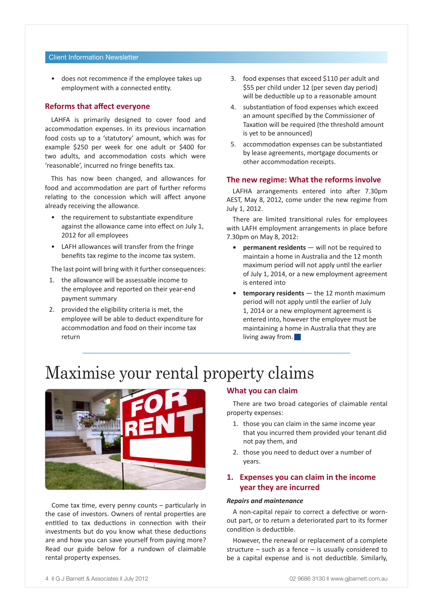#### Client Information Newsletter

• does not recommence if the employee takes up employment with a connected entity.

#### **Reforms that affect everyone**

LAHFA is primarily designed to cover food and accommodation expenses. In its previous incarnation food costs up to a 'statutory' amount, which was for example \$250 per week for one adult or \$400 for two adults, and accommodation costs which were 'reasonable', incurred no fringe benefits tax.

This has now been changed, and allowances for food and accommodation are part of further reforms relating to the concession which will affect anyone already receiving the allowance.

- the requirement to substantiate expenditure against the allowance came into effect on July 1, 2012 for all employees
- LAFH allowances will transfer from the fringe benefits tax regime to the income tax system.

The last point will bring with it further consequences:

- 1. the allowance will be assessable income to the employee and reported on their year-end payment summary
- 2. provided the eligibility criteria is met, the employee will be able to deduct expenditure for accommodation and food on their income tax return
- 3. food expenses that exceed \$110 per adult and \$55 per child under 12 (per seven day period) will be deductible up to a reasonable amount
- 4. substantiation of food expenses which exceed an amount specified by the Commissioner of Taxation will be required (the threshold amount is yet to be announced)
- 5. accommodation expenses can be substantiated by lease agreements, mortgage documents or other accommodation receipts.

#### **The new regime: What the reforms involve**

LAFHA arrangements entered into after 7.30pm AEST, May 8, 2012, come under the new regime from July 1, 2012.

There are limited transitional rules for employees with LAFH employment arrangements in place before 7.30pm on May 8, 2012:

- **permanent residents** will not be required to maintain a home in Australia and the 12 month maximum period will not apply until the earlier of July 1, 2014, or a new employment agreement is entered into
- **• temporary residents**  the 12 month maximum period will not apply until the earlier of July 1, 2014 or a new employment agreement is entered into, however the employee must be maintaining a home in Australia that they are living away from.  $\Box$

### Maximise your rental property claims



Come tax time, every penny counts – particularly in the case of investors. Owners of rental properties are entitled to tax deductions in connection with their investments but do you know what these deductions are and how you can save yourself from paying more? Read our guide below for a rundown of claimable rental property expenses.

#### **What you can claim**

There are two broad categories of claimable rental property expenses:

- 1. those you can claim in the same income year that you incurred them provided your tenant did not pay them, and
- 2. those you need to deduct over a number of years.

#### **1. Expenses you can claim in the income year they are incurred**

#### *Repairs and maintenance*

A non-capital repair to correct a defective or wornout part, or to return a deteriorated part to its former condition is deductible.

However, the renewal or replacement of a complete structure – such as a fence – is usually considered to be a capital expense and is not deductible. Similarly,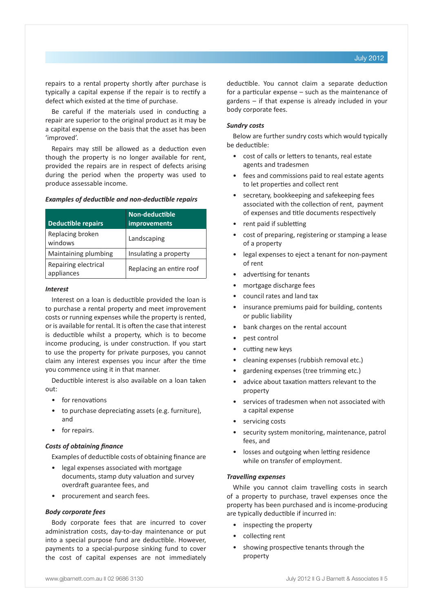repairs to a rental property shortly after purchase is typically a capital expense if the repair is to rectify a defect which existed at the time of purchase.

Be careful if the materials used in conducting a repair are superior to the original product as it may be a capital expense on the basis that the asset has been 'improved'.

Repairs may still be allowed as a deduction even though the property is no longer available for rent, provided the repairs are in respect of defects arising during the period when the property was used to produce assessable income.

#### *Examples of deductible and non-deductible repairs*

| <b>Deductible repairs</b>          | Non-deductible<br>improvements |
|------------------------------------|--------------------------------|
| Replacing broken<br>windows        | Landscaping                    |
| Maintaining plumbing               | Insulating a property          |
| Repairing electrical<br>appliances | Replacing an entire roof       |

#### *Interest*

Interest on a loan is deductible provided the loan is to purchase a rental property and meet improvement costs or running expenses while the property is rented, or is available for rental. It is often the case that interest is deductible whilst a property, which is to become income producing, is under construction. If you start to use the property for private purposes, you cannot claim any interest expenses you incur after the time you commence using it in that manner.

Deductible interest is also available on a loan taken out:

- for renovations
- to purchase depreciating assets (e.g. furniture), and
- for repairs.

#### *Costs of obtaining finance*

Examples of deductible costs of obtaining finance are

- legal expenses associated with mortgage documents, stamp duty valuation and survey overdraft guarantee fees, and
- procurement and search fees.

#### *Body corporate fees*

Body corporate fees that are incurred to cover administration costs, day-to-day maintenance or put into a special purpose fund are deductible. However, payments to a special-purpose sinking fund to cover the cost of capital expenses are not immediately deductible. You cannot claim a separate deduction for a particular expense – such as the maintenance of gardens – if that expense is already included in your body corporate fees.

#### *Sundry costs*

Below are further sundry costs which would typically be deductible:

- cost of calls or letters to tenants, real estate agents and tradesmen
- fees and commissions paid to real estate agents to let properties and collect rent
- secretary, bookkeeping and safekeeping fees associated with the collection of rent, payment of expenses and title documents respectively
- rent paid if subletting
- cost of preparing, registering or stamping a lease of a property
- legal expenses to eject a tenant for non-payment of rent
- advertising for tenants
- mortgage discharge fees
- council rates and land tax
- insurance premiums paid for building, contents or public liability
- bank charges on the rental account
- pest control
- cutting new keys
- cleaning expenses (rubbish removal etc.)
- gardening expenses (tree trimming etc.)
- advice about taxation matters relevant to the property
- services of tradesmen when not associated with a capital expense
- servicing costs
- security system monitoring, maintenance, patrol fees, and
- losses and outgoing when letting residence while on transfer of employment.

#### *Travelling expenses*

While you cannot claim travelling costs in search of a property to purchase, travel expenses once the property has been purchased and is income-producing are typically deductible if incurred in:

- inspecting the property
- collecting rent
- showing prospective tenants through the property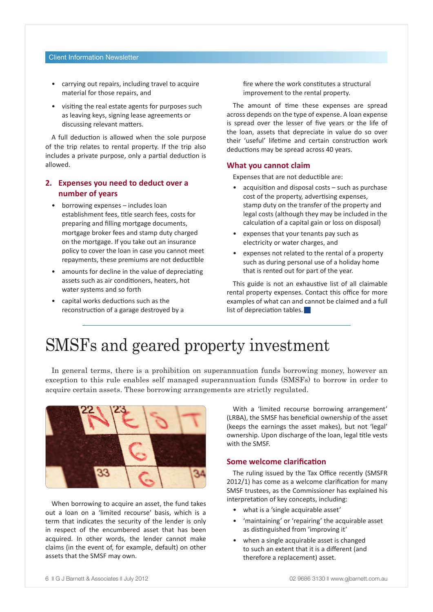#### Client Information Newsletter

- carrying out repairs, including travel to acquire material for those repairs, and
- visiting the real estate agents for purposes such as leaving keys, signing lease agreements or discussing relevant matters.

A full deduction is allowed when the sole purpose of the trip relates to rental property. If the trip also includes a private purpose, only a partial deduction is allowed.

#### **2. Expenses you need to deduct over a number of years**

- borrowing expenses includes loan establishment fees, title search fees, costs for preparing and filling mortgage documents, mortgage broker fees and stamp duty charged on the mortgage. If you take out an insurance policy to cover the loan in case you cannot meet repayments, these premiums are not deductible
- amounts for decline in the value of depreciating assets such as air conditioners, heaters, hot water systems and so forth
- capital works deductions such as the reconstruction of a garage destroyed by a

fire where the work constitutes a structural improvement to the rental property.

The amount of time these expenses are spread across depends on the type of expense. A loan expense is spread over the lesser of five years or the life of the loan, assets that depreciate in value do so over their 'useful' lifetime and certain construction work deductions may be spread across 40 years.

#### **What you cannot claim**

Expenses that are not deductible are:

- acquisition and disposal costs such as purchase cost of the property, advertising expenses, stamp duty on the transfer of the property and legal costs (although they may be included in the calculation of a capital gain or loss on disposal)
- expenses that your tenants pay such as electricity or water charges, and
- expenses not related to the rental of a property such as during personal use of a holiday home that is rented out for part of the year.

This guide is not an exhaustive list of all claimable rental property expenses. Contact this office for more examples of what can and cannot be claimed and a full list of depreciation tables.  $\blacksquare$ 

### SMSFs and geared property investment

In general terms, there is a prohibition on superannuation funds borrowing money, however an exception to this rule enables self managed superannuation funds (SMSFs) to borrow in order to acquire certain assets. These borrowing arrangements are strictly regulated.



When borrowing to acquire an asset, the fund takes out a loan on a 'limited recourse' basis, which is a term that indicates the security of the lender is only in respect of the encumbered asset that has been acquired. In other words, the lender cannot make claims (in the event of, for example, default) on other assets that the SMSF may own.

With a 'limited recourse borrowing arrangement' (LRBA), the SMSF has beneficial ownership of the asset (keeps the earnings the asset makes), but not 'legal' ownership. Upon discharge of the loan, legal title vests with the SMSF.

#### **Some welcome clarification**

The ruling issued by the Tax Office recently (SMSFR 2012/1) has come as a welcome clarification for many SMSF trustees, as the Commissioner has explained his interpretation of key concepts, including:

- what is a 'single acquirable asset'
- 'maintaining' or 'repairing' the acquirable asset as distinguished from 'improving it'
- when a single acquirable asset is changed to such an extent that it is a different (and therefore a replacement) asset.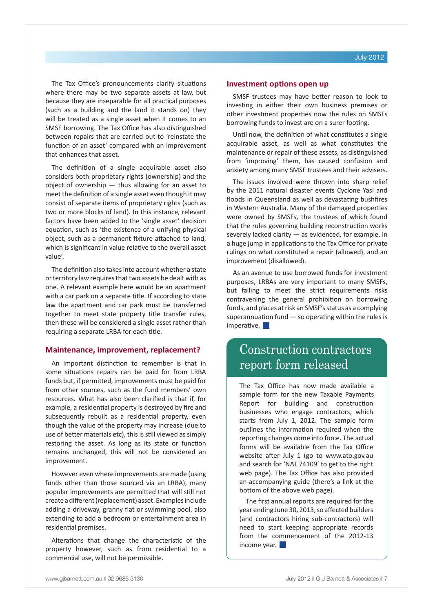The Tax Office's pronouncements clarify situations where there may be two separate assets at law, but because they are inseparable for all practical purposes (such as a building and the land it stands on) they will be treated as a single asset when it comes to an SMSF borrowing. The Tax Office has also distinguished between repairs that are carried out to 'reinstate the function of an asset' compared with an improvement that enhances that asset.

The definition of a single acquirable asset also considers both proprietary rights (ownership) and the object of ownership — thus allowing for an asset to meet the definition of a single asset even though it may consist of separate items of proprietary rights (such as two or more blocks of land). In this instance, relevant factors have been added to the 'single asset' decision equation, such as 'the existence of a unifying physical object, such as a permanent fixture attached to land, which is significant in value relative to the overall asset value'.

The definition also takes into account whether a state or territory law requires that two assets be dealt with as one. A relevant example here would be an apartment with a car park on a separate title. If according to state law the apartment and car park must be transferred together to meet state property title transfer rules, then these will be considered a single asset rather than requiring a separate LRBA for each title.

#### **Maintenance, improvement, replacement?**

An important distinction to remember is that in some situations repairs can be paid for from LRBA funds but, if permitted, improvements must be paid for from other sources, such as the fund members' own resources. What has also been clarified is that if, for example, a residential property is destroyed by fire and subsequently rebuilt as a residential property, even though the value of the property may increase (due to use of better materials etc), this is still viewed as simply restoring the asset. As long as its state or function remains unchanged, this will not be considered an improvement.

However even where improvements are made (using funds other than those sourced via an LRBA), many popular improvements are permitted that will still not create a different (replacement) asset. Examples include adding a driveway, granny flat or swimming pool, also extending to add a bedroom or entertainment area in residential premises.

Alterations that change the characteristic of the property however, such as from residential to a commercial use, will not be permissible.

#### **Investment options open up**

SMSF trustees may have better reason to look to investing in either their own business premises or other investment properties now the rules on SMSFs borrowing funds to invest are on a surer footing.

Until now, the definition of what constitutes a single acquirable asset, as well as what constitutes the maintenance or repair of these assets, as distinguished from 'improving' them, has caused confusion and anxiety among many SMSF trustees and their advisers.

The issues involved were thrown into sharp relief by the 2011 natural disaster events Cyclone Yasi and floods in Queensland as well as devastating bushfires in Western Australia. Many of the damaged properties were owned by SMSFs, the trustees of which found that the rules governing building reconstruction works severely lacked clarity — as evidenced, for example, in a huge jump in applications to the Tax Office for private rulings on what constituted a repair (allowed), and an improvement (disallowed).

As an avenue to use borrowed funds for investment purposes, LRBAs are very important to many SMSFs, but failing to meet the strict requirements risks contravening the general prohibition on borrowing funds, and places at risk an SMSF's status as a complying superannuation fund — so operating within the rules is  $im$ perative.  $\Box$ 

### Construction contractors report form released

The Tax Office has now made available a sample form for the new Taxable Payments Report for building and construction businesses who engage contractors, which starts from July 1, 2012. The sample form outlines the information required when the reporting changes come into force. The actual forms will be available from the Tax Office website after July 1 (go to www.ato.gov.au and search for 'NAT 74109' to get to the right web page). The Tax Office has also provided an accompanying guide (there's a link at the bottom of the above web page).

The first annual reports are required for the year ending June 30, 2013, so affected builders (and contractors hiring sub-contractors) will need to start keeping appropriate records from the commencement of the 2012-13 income year.  $\blacksquare$